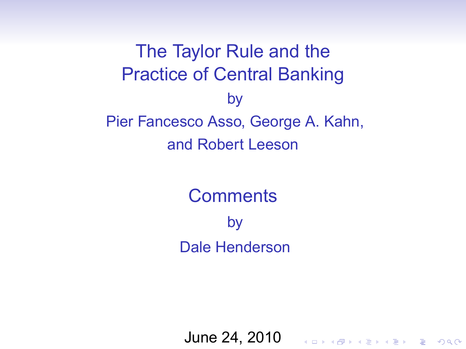The Taylor Rule and the Practice of Central Banking by Pier Fancesco Asso, George A. Kahn, and Robert Leeson

> **Comments** by Dale Henderson

June 24, 2010

KO KKO K S A B K S B K V S A V K S B K S A V S B K S A V S B K S B K S B K S B K S B K S B K S B K S B K S B K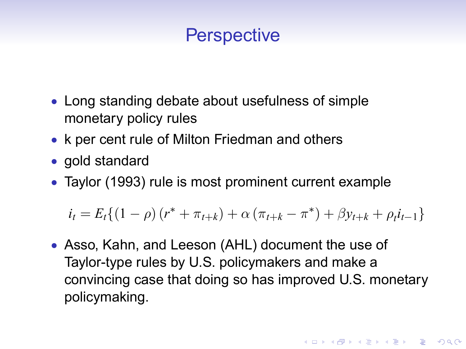#### **Perspective**

- Long standing debate about usefulness of simple monetary policy rules
- k per cent rule of Milton Friedman and others
- gold standard
- Taylor (1993) rule is most prominent current example

 $i_t = E_t \{(1 - \rho) (r^* + \pi_{t+k}) + \alpha (\pi_{t+k} - \pi^*) + \beta y_{t+k} + \rho_t i_{t-1}\}\$ 

 Asso, Kahn, and Leeson (AHL) document the use of Taylor-type rules by U.S. policymakers and make a convincing case that doing so has improved U.S. monetary policymaking.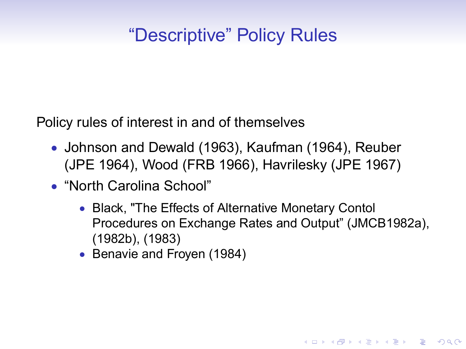## *"Descriptive"* Policy Rules

Policy rules of interest in and of themselves

- Johnson and Dewald (1963), Kaufman (1964), Reuber (JPE 1964), Wood (FRB 1966), Havrilesky (JPE 1967)
- "North Carolina School"
	- Black, "The Effects of Alternative Monetary Contol Procedures on Exchange Rates and Output" (JMCB1982a), (1982b), (1983)

**KORK ERKER ADAM ADA** 

• Benavie and Froyen (1984)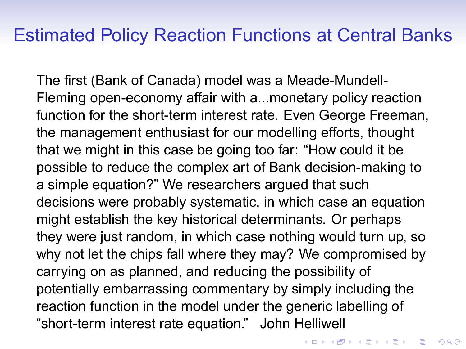#### Estimated Policy Reaction Functions at Central Banks

The first (Bank of Canada) model was a Meade-Mundell-Fleming open-economy affair with a...monetary policy reaction function for the short-term interest rate. Even George Freeman, the management enthusiast for our modelling efforts, thought that we might in this case be going too far: "How could it be possible to reduce the complex art of Bank decision-making to a simple equation?" We researchers argued that such decisions were probably systematic, in which case an equation might establish the key historical determinants. Or perhaps they were just random, in which case nothing would turn up, so why not let the chips fall where they may? We compromised by carrying on as planned, and reducing the possibility of potentially embarrassing commentary by simply including the reaction function in the model under the generic labelling of "short-term interest rate equation." John Helliwell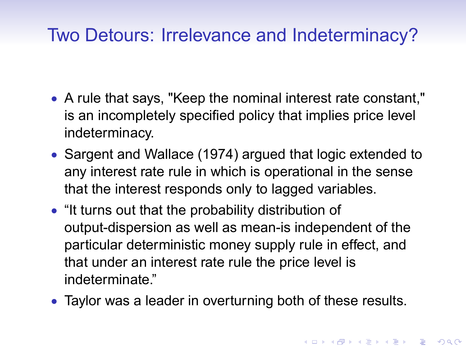### Two Detours: Irrelevance and Indeterminacy?

- A rule that says, "Keep the nominal interest rate constant," is an incompletely specified policy that implies price level indeterminacy.
- Sargent and Wallace (1974) argued that logic extended to any interest rate rule in which is operational in the sense that the interest responds only to lagged variables.
- "It turns out that the probability distribution of output-dispersion as well as mean-is independent of the particular deterministic money supply rule in effect, and that under an interest rate rule the price level is indeterminate."
- Taylor was a leader in overturning both of these results.

**KORK ERKEY EL POLO**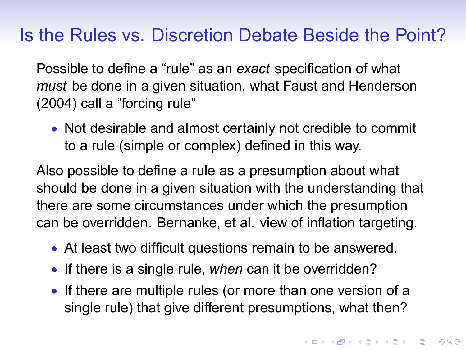#### Is the Rules vs. Discretion Debate Beside the Point?

Possible to define a "rule" as an *exact* specification of what must be done in a given situation, what Faust and Henderson  $(2004)$  call a "forcing rule"

 Not desirable and almost certainly not credible to commit to a rule (simple or complex) defined in this way.

Also possible to define a rule as a presumption about what should be done in a given situation with the understanding that there are some circumstances under which the presumption can be overridden. Bernanke, et al. view of inflation targeting.

- At least two difficult questions remain to be answered.
- If there is a single rule, when can it be overridden?
- If there are multiple rules (or more than one version of a single rule) that give different presumptions, what then?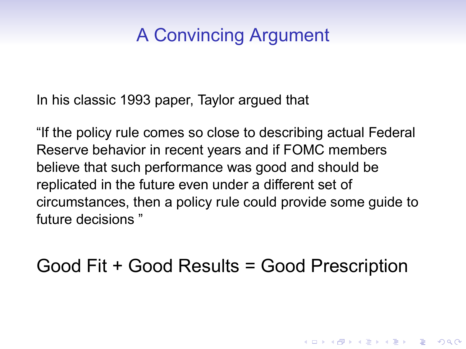## A Convincing Argument

In his classic 1993 paper, Taylor argued that

"If the policy rule comes so close to describing actual Federal Reserve behavior in recent years and if FOMC members believe that such performance was good and should be replicated in the future even under a different set of circumstances, then a policy rule could provide some guide to future decisions "

Good Fit + Good Results = Good Prescription

**KORK ERKEY EL POLO**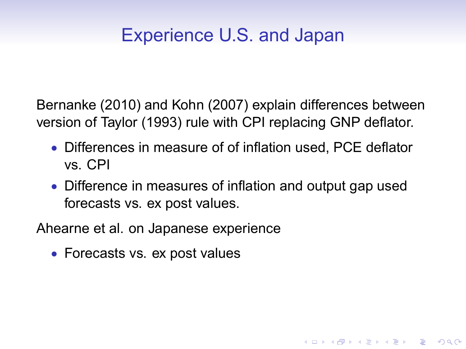## Experience U.S. and Japan

Bernanke (2010) and Kohn (2007) explain differences between version of Taylor (1993) rule with CPI replacing GNP deflator.

- $\bullet$  Differences in measure of of inflation used. PCE deflator vs. CPI
- Difference in measures of inflation and output gap used forecasts vs. ex post values.

**KORK ERKER ADAM ADA** 

Ahearne et al. on Japanese experience

• Forecasts vs. ex post values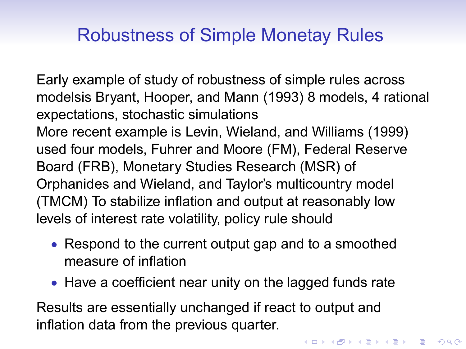### Robustness of Simple Monetay Rules

Early example of study of robustness of simple rules across modelsis Bryant, Hooper, and Mann (1993) 8 models, 4 rational expectations, stochastic simulations More recent example is Levin, Wieland, and Williams (1999) used four models, Fuhrer and Moore (FM), Federal Reserve Board (FRB), Monetary Studies Research (MSR) of Orphanides and Wieland, and Taylor's multicountry model (TMCM) To stabilize inflation and output at reasonably low levels of interest rate volatility, policy rule should

- Respond to the current output gap and to a smoothed measure of inflation
- Have a coefficient near unity on the lagged funds rate

Results are essentially unchanged if react to output and inflation data from the previous quarter.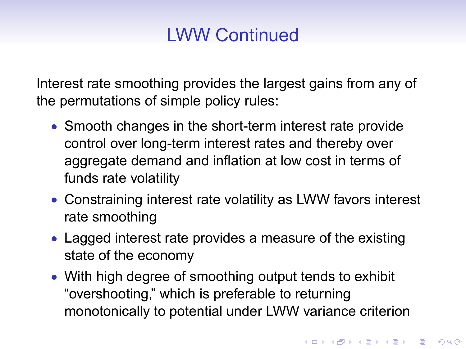# LWW Continued

Interest rate smoothing provides the largest gains from any of the permutations of simple policy rules:

- Smooth changes in the short-term interest rate provide control over long-term interest rates and thereby over aggregate demand and inflation at low cost in terms of funds rate volatility
- Constraining interest rate volatility as LWW favors interest rate smoothing
- Lagged interest rate provides a measure of the existing state of the economy
- With high degree of smoothing output tends to exhibit "overshooting," which is preferable to returning monotonically to potential under LWW variance criterion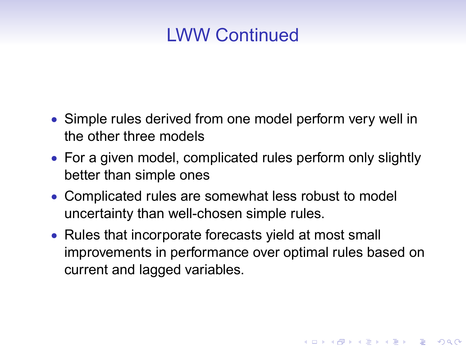#### LWW Continued

- Simple rules derived from one model perform very well in the other three models
- For a given model, complicated rules perform only slightly better than simple ones
- Complicated rules are somewhat less robust to model uncertainty than well-chosen simple rules.
- Rules that incorporate forecasts yield at most small improvements in performance over optimal rules based on current and lagged variables.

**KORK ERKER ADAM ADA**